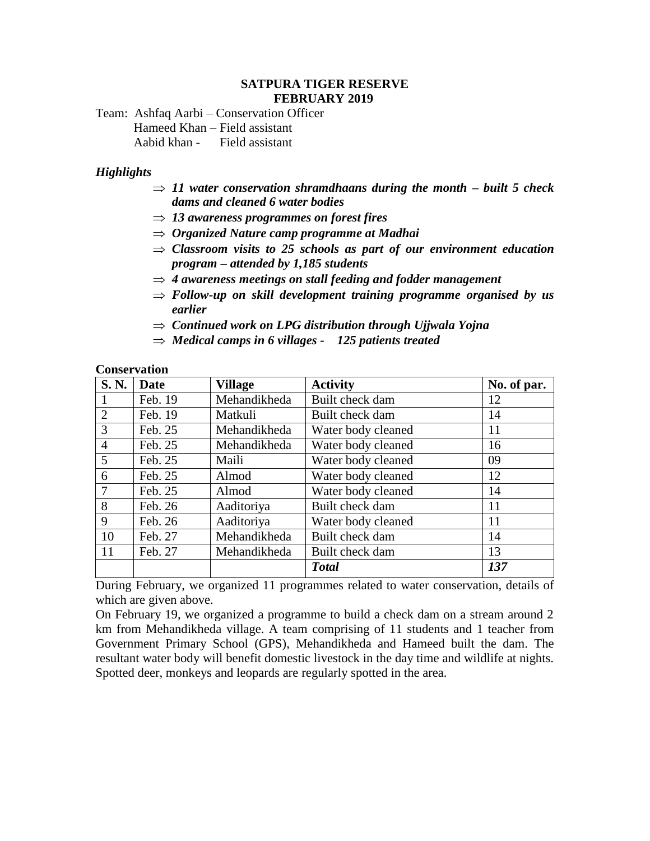#### **SATPURA TIGER RESERVE FEBRUARY 2019**

Team: Ashfaq Aarbi – Conservation Officer Hameed Khan – Field assistant Aabid khan - Field assistant

#### *Highlights*

- $\Rightarrow$  11 water conservation shramdhaans during the month built 5 check *dams and cleaned 6 water bodies*
- *13 awareness programmes on forest fires*
- *Organized Nature camp programme at Madhai*
- $\Rightarrow$  *Classroom visits to 25 schools as part of our environment education program – attended by 1,185 students*
- *4 awareness meetings on stall feeding and fodder management*
- $\Rightarrow$  Follow-up on skill development training programme organised by us *earlier*
- *Continued work on LPG distribution through Ujjwala Yojna*
- $\Rightarrow$  *Medical camps in 6 villages 125 patients treated*

#### **Conservation**

| S.N.           | Date    | <b>Village</b> | <b>Activity</b>    | No. of par. |
|----------------|---------|----------------|--------------------|-------------|
|                | Feb. 19 | Mehandikheda   | Built check dam    | 12          |
| 2              | Feb. 19 | Matkuli        | Built check dam    | 14          |
| 3              | Feb. 25 | Mehandikheda   | Water body cleaned | 11          |
| $\overline{4}$ | Feb. 25 | Mehandikheda   | Water body cleaned | 16          |
| 5              | Feb. 25 | Maili          | Water body cleaned | 09          |
| 6              | Feb. 25 | Almod          | Water body cleaned | 12          |
| $\tau$         | Feb. 25 | Almod          | Water body cleaned | 14          |
| 8              | Feb. 26 | Aaditoriya     | Built check dam    | 11          |
| 9              | Feb. 26 | Aaditoriya     | Water body cleaned | 11          |
| 10             | Feb. 27 | Mehandikheda   | Built check dam    | 14          |
| 11             | Feb. 27 | Mehandikheda   | Built check dam    | 13          |
|                |         |                | <b>Total</b>       | 137         |

During February, we organized 11 programmes related to water conservation, details of which are given above.

On February 19, we organized a programme to build a check dam on a stream around 2 km from Mehandikheda village. A team comprising of 11 students and 1 teacher from Government Primary School (GPS), Mehandikheda and Hameed built the dam. The resultant water body will benefit domestic livestock in the day time and wildlife at nights. Spotted deer, monkeys and leopards are regularly spotted in the area.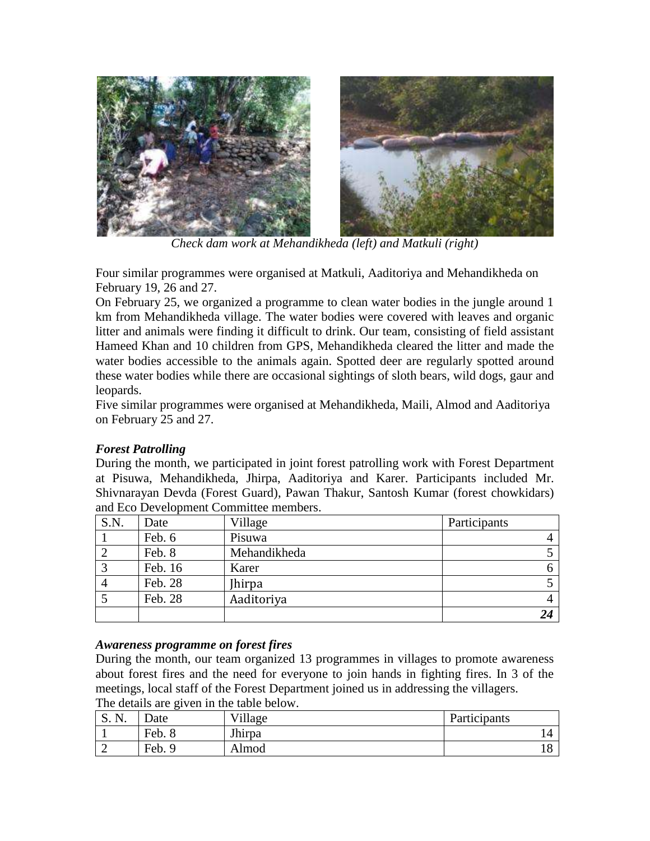

*Check dam work at Mehandikheda (left) and Matkuli (right)*

Four similar programmes were organised at Matkuli, Aaditoriya and Mehandikheda on February 19, 26 and 27.

On February 25, we organized a programme to clean water bodies in the jungle around 1 km from Mehandikheda village. The water bodies were covered with leaves and organic litter and animals were finding it difficult to drink. Our team, consisting of field assistant Hameed Khan and 10 children from GPS, Mehandikheda cleared the litter and made the water bodies accessible to the animals again. Spotted deer are regularly spotted around these water bodies while there are occasional sightings of sloth bears, wild dogs, gaur and leopards.

Five similar programmes were organised at Mehandikheda, Maili, Almod and Aaditoriya on February 25 and 27.

## *Forest Patrolling*

During the month, we participated in joint forest patrolling work with Forest Department at Pisuwa, Mehandikheda, Jhirpa, Aaditoriya and Karer. Participants included Mr. Shivnarayan Devda (Forest Guard), Pawan Thakur, Santosh Kumar (forest chowkidars) and Eco Development Committee members.

| S.N. | Date    | Village       | Participants |
|------|---------|---------------|--------------|
|      | Feb. 6  | Pisuwa        |              |
|      | Feb. 8  | Mehandikheda  |              |
|      | Feb. 16 | Karer         |              |
|      | Feb. 28 | <b>Jhirpa</b> |              |
|      | Feb. 28 | Aaditoriya    |              |
|      |         |               |              |

## *Awareness programme on forest fires*

During the month, our team organized 13 programmes in villages to promote awareness about forest fires and the need for everyone to join hands in fighting fires. In 3 of the meetings, local staff of the Forest Department joined us in addressing the villagers.

The details are given in the table below.

| S. N. | )ate                 | Village | Participants |
|-------|----------------------|---------|--------------|
|       | Feb. 8               | Jhirpa  |              |
|       | $\mathsf{Feb.}$<br>Q | Almod   | ⊥∪           |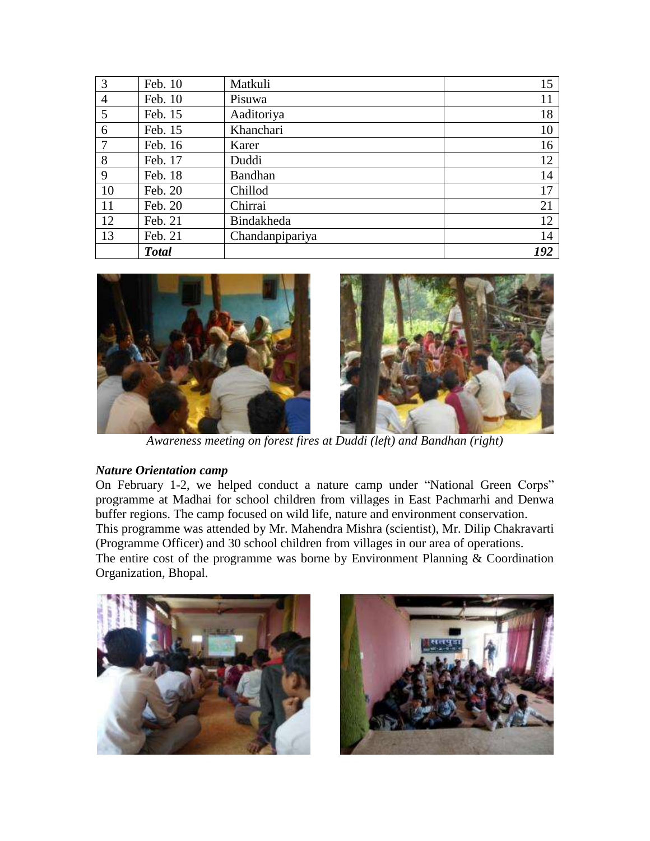| 3              | Feb. 10      | Matkuli         | 15  |
|----------------|--------------|-----------------|-----|
| $\overline{4}$ | Feb. 10      | Pisuwa          | 11  |
| 5              | Feb. 15      | Aaditoriya      | 18  |
| 6              | Feb. 15      | Khanchari       | 10  |
| $\tau$         | Feb. 16      | Karer           | 16  |
| 8              | Feb. 17      | Duddi           | 12  |
| 9              | Feb. 18      | Bandhan         | 14  |
| 10             | Feb. 20      | Chillod         | 17  |
| 11             | Feb. 20      | Chirrai         | 21  |
| 12             | Feb. 21      | Bindakheda      | 12  |
| 13             | Feb. 21      | Chandanpipariya | 14  |
|                | <b>Total</b> |                 | 192 |



*Awareness meeting on forest fires at Duddi (left) and Bandhan (right)*

## *Nature Orientation camp*

On February 1-2, we helped conduct a nature camp under "National Green Corps" programme at Madhai for school children from villages in East Pachmarhi and Denwa buffer regions. The camp focused on wild life, nature and environment conservation. This programme was attended by Mr. Mahendra Mishra (scientist), Mr. Dilip Chakravarti (Programme Officer) and 30 school children from villages in our area of operations. The entire cost of the programme was borne by Environment Planning  $&$  Coordination Organization, Bhopal.



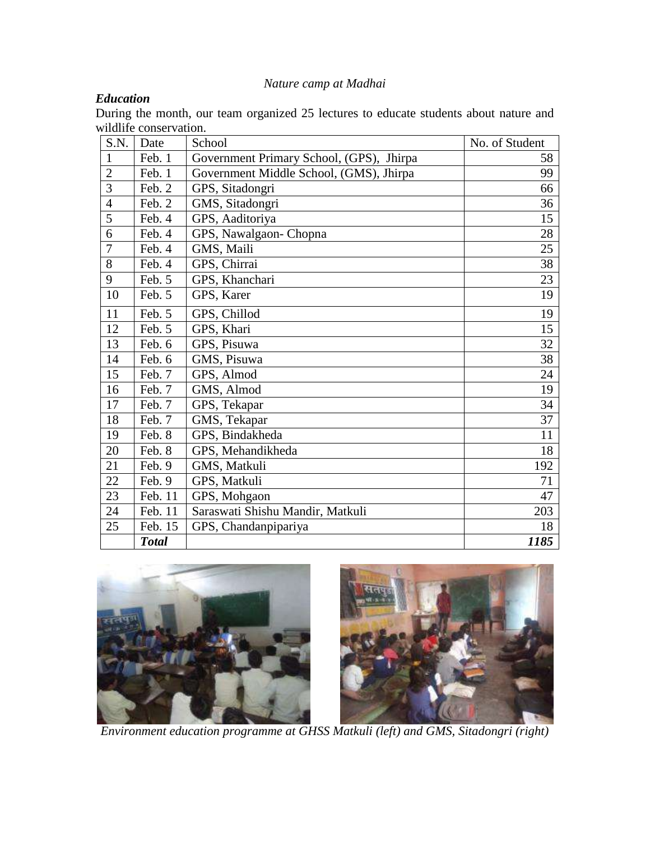# *Nature camp at Madhai*

# *Education*

During the month, our team organized 25 lectures to educate students about nature and wildlife conservation.

| S.N.           | Date         | School                                   | No. of Student |
|----------------|--------------|------------------------------------------|----------------|
| $\mathbf{1}$   | Feb. 1       | Government Primary School, (GPS), Jhirpa | 58             |
| $\overline{2}$ | Feb. 1       | Government Middle School, (GMS), Jhirpa  | 99             |
| 3              | Feb. 2       | GPS, Sitadongri                          | 66             |
| $\overline{4}$ | Feb. 2       | GMS, Sitadongri                          | 36             |
| 5              | Feb. 4       | GPS, Aaditoriya                          | 15             |
| 6              | Feb. 4       | GPS, Nawalgaon- Chopna                   | 28             |
| $\overline{7}$ | Feb. 4       | GMS, Maili                               | 25             |
| 8              | Feb. 4       | GPS, Chirrai                             | 38             |
| 9              | Feb. 5       | GPS, Khanchari                           | 23             |
| 10             | Feb. 5       | GPS, Karer                               | 19             |
| 11             | Feb. 5       | GPS, Chillod                             | 19             |
| 12             | Feb. 5       | GPS, Khari                               | 15             |
| 13             | Feb. 6       | GPS, Pisuwa                              | 32             |
| 14             | Feb. 6       | GMS, Pisuwa                              | 38             |
| 15             | Feb. 7       | GPS, Almod                               | 24             |
| 16             | Feb. 7       | GMS, Almod                               | 19             |
| 17             | Feb. 7       | GPS, Tekapar                             | 34             |
| 18             | Feb. 7       | GMS, Tekapar                             | 37             |
| 19             | Feb. 8       | GPS, Bindakheda                          | 11             |
| 20             | Feb. 8       | GPS, Mehandikheda                        | 18             |
| 21             | Feb. 9       | GMS, Matkuli                             | 192            |
| 22             | Feb. 9       | GPS, Matkuli                             | 71             |
| 23             | Feb. 11      | GPS, Mohgaon                             | 47             |
| 24             | Feb. 11      | Saraswati Shishu Mandir, Matkuli         | 203            |
| 25             | Feb. 15      | GPS, Chandanpipariya                     | 18             |
|                | <b>Total</b> |                                          | 1185           |





*Environment education programme at GHSS Matkuli (left) and GMS, Sitadongri (right)*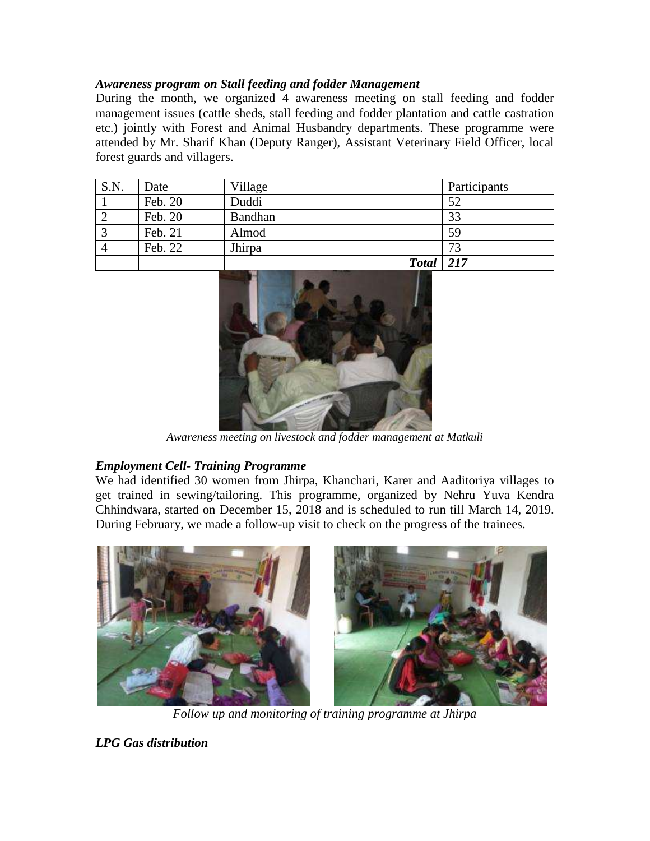### *Awareness program on Stall feeding and fodder Management*

During the month, we organized 4 awareness meeting on stall feeding and fodder management issues (cattle sheds, stall feeding and fodder plantation and cattle castration etc.) jointly with Forest and Animal Husbandry departments. These programme were attended by Mr. Sharif Khan (Deputy Ranger), Assistant Veterinary Field Officer, local forest guards and villagers.

| S.N. | Date    | Village      | Participants |
|------|---------|--------------|--------------|
|      | Feb. 20 | Duddi        | 52           |
|      | Feb. 20 | Bandhan      | 33           |
|      | Feb. 21 | Almod        | 59           |
|      | Feb. 22 | Jhirpa       | 73           |
|      |         | <b>Total</b> | $\vert$ 217  |



*Awareness meeting on livestock and fodder management at Matkuli* 

## *Employment Cell- Training Programme*

We had identified 30 women from Jhirpa, Khanchari, Karer and Aaditoriya villages to get trained in sewing/tailoring. This programme, organized by Nehru Yuva Kendra Chhindwara, started on December 15, 2018 and is scheduled to run till March 14, 2019. During February, we made a follow-up visit to check on the progress of the trainees.



*Follow up and monitoring of training programme at Jhirpa*

*LPG Gas distribution*